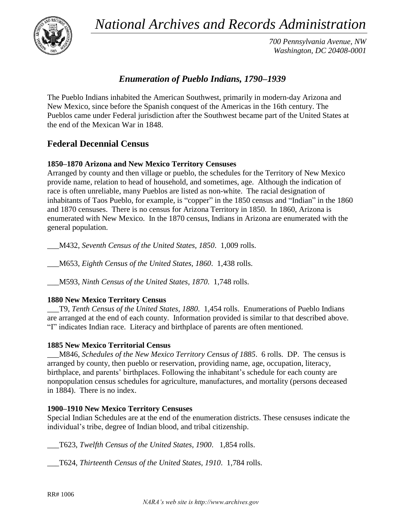*National Archives and Records Administration*



*700 Pennsylvania Avenue, NW Washington, DC 20408-0001*

# *Enumeration of Pueblo Indians, 1790–1939*

The Pueblo Indians inhabited the American Southwest, primarily in modern-day Arizona and New Mexico, since before the Spanish conquest of the Americas in the 16th century. The Pueblos came under Federal jurisdiction after the Southwest became part of the United States at the end of the Mexican War in 1848.

## **Federal Decennial Census**

### **1850–1870 Arizona and New Mexico Territory Censuses**

Arranged by county and then village or pueblo, the schedules for the Territory of New Mexico provide name, relation to head of household, and sometimes, age. Although the indication of race is often unreliable, many Pueblos are listed as non-white. The racial designation of inhabitants of Taos Pueblo, for example, is "copper" in the 1850 census and "Indian" in the 1860 and 1870 censuses. There is no census for Arizona Territory in 1850. In 1860, Arizona is enumerated with New Mexico. In the 1870 census, Indians in Arizona are enumerated with the general population.

\_\_\_M432, *Seventh Census of the United States, 1850*. 1,009 rolls.

\_\_\_M653, *Eighth Census of the United States, 1860*. 1,438 rolls.

\_\_\_M593, *Ninth Census of the United States, 1870*. 1,748 rolls.

### **1880 New Mexico Territory Census**

\_\_\_T9, *Tenth Census of the United States, 1880*. 1,454 rolls. Enumerations of Pueblo Indians are arranged at the end of each county. Information provided is similar to that described above. "I" indicates Indian race. Literacy and birthplace of parents are often mentioned.

#### **1885 New Mexico Territorial Census**

\_\_\_M846, *Schedules of the New Mexico Territory Census of 1885*. 6 rolls. DP. The census is arranged by county, then pueblo or reservation, providing name, age, occupation, literacy, birthplace, and parents' birthplaces. Following the inhabitant's schedule for each county are nonpopulation census schedules for agriculture, manufactures, and mortality (persons deceased in 1884). There is no index.

#### **1900–1910 New Mexico Territory Censuses**

Special Indian Schedules are at the end of the enumeration districts. These censuses indicate the individual's tribe, degree of Indian blood, and tribal citizenship.

\_\_\_T623, *Twelfth Census of the United States, 1900*. 1,854 rolls.

\_\_\_T624, *Thirteenth Census of the United States, 1910*. 1,784 rolls.